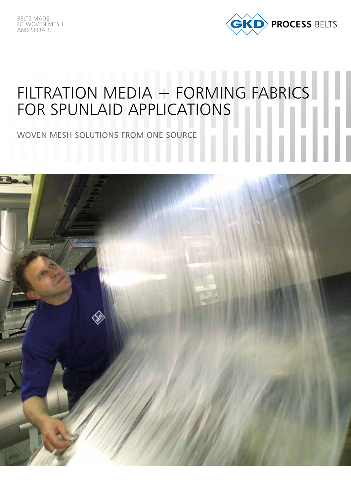

# FILTRATION MEDIA + FORMING FABRICS FOR SPUNLAID APPLICATIONS HH

WOVEN MESH SOLUTIONS FROM ONE SOURCE

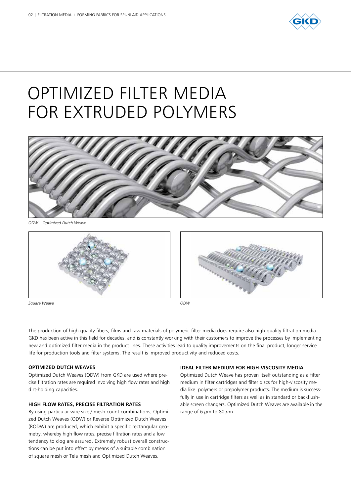

# OPTIMIZED FILTER MEDIA FOR EXTRUDED POLYMERS



*ODW – Optimized Dutch Weave*



*Square Weave*





The production of high-quality fibers, films and raw materials of polymeric filter media does require also high-quality filtration media. GKD has been active in this field for decades, and is constantly working with their customers to improve the processes by implementing new and optimized filter media in the product lines. These activities lead to quality improvements on the final product, longer service life for production tools and filter systems. The result is improved productivity and reduced costs.

#### **OPTIMIZED DUTCH WEAVES**

Optimized Dutch Weaves (ODW) from GKD are used where precise filtration rates are required involving high flow rates and high dirt-holding capacities.

#### **HIGH FLOW RATES, PRECISE FILTRATION RATES**

By using particular wire size / mesh count combinations, Optimized Dutch Weaves (ODW) or Reverse Optimized Dutch Weaves (RODW) are produced, which exhibit a specific rectangular geometry, whereby high flow rates, precise filtration rates and a low tendency to clog are assured. Extremely robust overall constructions can be put into effect by means of a suitable combination of square mesh or Tela mesh and Optimized Dutch Weaves.

#### **IDEAL FILTER MEDIUM FOR HIGH-VISCOSITY MEDIA**

Optimized Dutch Weave has proven itself outstanding as a filter medium in filter cartridges and filter discs for high-viscosity media like polymers or prepolymer products. The medium is successfully in use in cartridge filters as well as in standard or backflushable screen changers. Optimized Dutch Weaves are available in the range of 6  $\mu$ m to 80  $\mu$ m.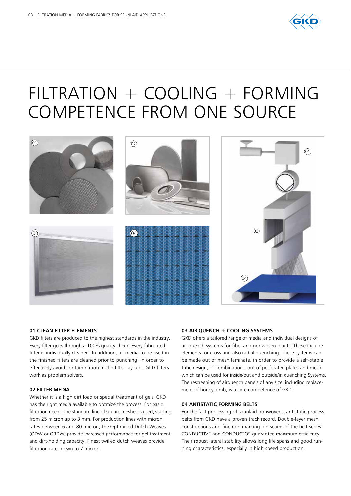

## FILTRATION + COOLING + FORMING COMPETENCE FROM ONE SOURCE



### **01 CLEAN FILTER ELEMENTS**

GKD filters are produced to the highest standards in the industry. Every filter goes through a 100% quality check. Every fabricated filter is individually cleaned. In addition, all media to be used in the finished filters are cleaned prior to punching, in order to effectively avoid contamination in the filter lay-ups. GKD filters work as problem solvers.

#### **02 FILTER MEDIA**

Whether it is a high dirt load or special treatment of gels, GKD has the right media available to optmize the process. For basic filtration needs, the standard line of square meshes is used, starting from 25 micron up to 3 mm. For production lines with micron rates between 6 and 80 micron, the Optimized Dutch Weaves (ODW or ORDW) provide increased performance for gel treatment and dirt-holding capacity. Finest twilled dutch weaves provide filtration rates down to 7 micron.

### **03 AIR QUENCH + COOLING SYSTEMS**

GKD offers a tailored range of media and individual designs of air quench systems for fiber and nonwoven plants. These include elements for cross and also radial quenching. These systems can be made out of mesh laminate, in order to provide a self-stable tube design, or combinations out of perforated plates and mesh, which can be used for inside/out and outside/in quenching Systems. The rescreening of airquench panels of any size, including replacement of honeycomb, is a core competence of GKD.

### **04 ANTISTATIC FORMING BELTS**

For the fast processing of spunlaid nonwovens, antistatic process belts from GKD have a proven track record. Double-layer mesh constructions and fine non-marking pin seams of the belt series CONDUCTIVE and CONDUCTO® guarantee maximum efficiency. Their robust lateral stability allows long life spans and good running characteristics, especially in high speed production.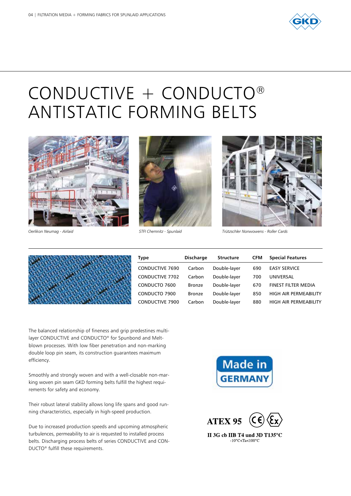

# CONDUCTIVE + CONDUCTO® ANTISTATIC FORMING BELTS







*Oerlikon Neumag - Airlaid STFI Chemnitz - Spunlaid Trützschler Nonwowens - Roller Cards*



| <b>Type</b>            | <b>Discharge</b> | <b>Structure</b> | <b>CFM</b> | <b>Special Features</b>      |
|------------------------|------------------|------------------|------------|------------------------------|
| <b>CONDUCTIVE 7690</b> | Carbon           | Double-layer     | 690        | <b>EASY SERVICE</b>          |
| <b>CONDUCTIVE 7702</b> | Carbon           | Double-layer     | 700        | UNIVERSAL                    |
| CONDUCTO 7600          | <b>Bronze</b>    | Double-layer     | 670        | <b>FINEST FILTER MEDIA</b>   |
| CONDUCTO 7900          | Bronze           | Double-layer     | 850        | <b>HIGH AIR PERMEABILITY</b> |
| <b>CONDUCTIVE 7900</b> | Carbon           | Double-layer     | 880        | HIGH AIR PERMEABILITY        |

The balanced relationship of fineness and grip predestines multilayer CONDUCTIVE and CONDUCTO® for Spunbond and Meltblown processes. With low fiber penetration and non-marking double loop pin seam, its construction guarantees maximum efficiency.

Smoothly and strongly woven and with a well-closable non-marking woven pin seam GKD forming belts fulfill the highest requirements for safety and economy.

Their robust lateral stability allows long life spans and good running characteristics, especially in high-speed production.

Due to increased production speeds and upcoming atmospheric turbulences, permeability to air is requested to installed process belts. Discharging process belts of series CONDUCTIVE and CON-DUCTO® fulfill these requirements.



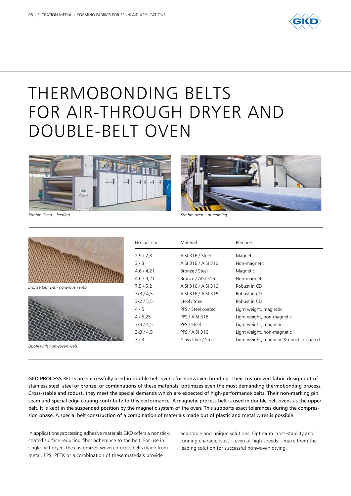

# THERMOBONDING BELTS FOR AIR-THROUGH DRYER AND DOUBLE-BELT OVEN





*Strahm Oven – feeding Strahm oven – outcoming*



*Bronze belt with nonwoven web*



*Duofil with nonwoven web*

| No. per cm  | Material              | Remarks                                  |
|-------------|-----------------------|------------------------------------------|
| 2,9/2,8     | AISI 316 / Steel      | Magnetic                                 |
| 3/3         | AISI 316 / AISI 316   | Non-magnetic                             |
| 4,6/4,21    | Bronze / Steel        | Magnetic                                 |
| 4,6/4,21    | Bronze / AISI 316     | Non-magnetic                             |
| 7, 5 / 5, 2 | AISI 316 / AISI 316   | Robust in CD                             |
| 3x3 / 4.5   | AISI 316 / AISI 316   | Robust in CD                             |
| 3x2 / 5.5   | Steel / Steel         | Robust in CD                             |
| 4/5         | PPS / Steel coated    | Light weight, magnetic                   |
| 4/5,25      | PPS / AISI 316        | Light weight, non-magnetic               |
| 3x3 / 4.5   | PPS / Steel           | Light weight, magnetic                   |
| 3x3 / 4.5   | <b>PPS / AISI 316</b> | Light weight, non-magnetic               |
| 3/3         | Glass fiber / Steel   | Light weight, magnetic & nonstick-coated |

GKD **PROCESS** BELTS are successfully used in double belt ovens for nonwoven bonding. Their customized fabric design out of stainless steel, steel or bronze, or combinations of these materials, optimizes even the most demanding thermobonding process. Cross-stable and robust, they meet the special demands which are expected of high-performance belts. Their non-marking pin seam and special edge coating contribute to this performance. A magnetic process belt is used in double-belt ovens as the upper belt. It is kept in the suspended position by the magnetic system of the oven. This supports exact tolerances during the compression phase. A special belt construction of a combination of materials made out of plastic and metal wires is possible.

In applications processing adhesive materials GKD offers a nonstickcoated surface reducing fiber adherence to the belt. For use in single-belt dryers the customized woven process belts made from metal, PPS, PEEK or a combination of these materials provide

adaptable and unique solutions. Optimum cross-stability and running characteristics – even at high speeds – make them the leading solution for successful nonwoven drying.